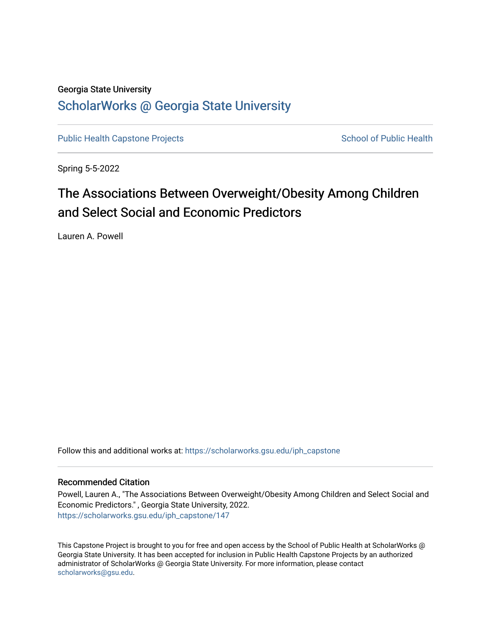## Georgia State University [ScholarWorks @ Georgia State University](https://scholarworks.gsu.edu/)

[Public Health Capstone Projects](https://scholarworks.gsu.edu/iph_capstone) **School of Public Health** School of Public Health

Spring 5-5-2022

# The Associations Between Overweight/Obesity Among Children and Select Social and Economic Predictors

Lauren A. Powell

Follow this and additional works at: [https://scholarworks.gsu.edu/iph\\_capstone](https://scholarworks.gsu.edu/iph_capstone?utm_source=scholarworks.gsu.edu%2Fiph_capstone%2F147&utm_medium=PDF&utm_campaign=PDFCoverPages)

## Recommended Citation

Powell, Lauren A., "The Associations Between Overweight/Obesity Among Children and Select Social and Economic Predictors." , Georgia State University, 2022. [https://scholarworks.gsu.edu/iph\\_capstone/147](https://scholarworks.gsu.edu/iph_capstone/147?utm_source=scholarworks.gsu.edu%2Fiph_capstone%2F147&utm_medium=PDF&utm_campaign=PDFCoverPages)

This Capstone Project is brought to you for free and open access by the School of Public Health at ScholarWorks @ Georgia State University. It has been accepted for inclusion in Public Health Capstone Projects by an authorized administrator of ScholarWorks @ Georgia State University. For more information, please contact [scholarworks@gsu.edu.](mailto:scholarworks@gsu.edu)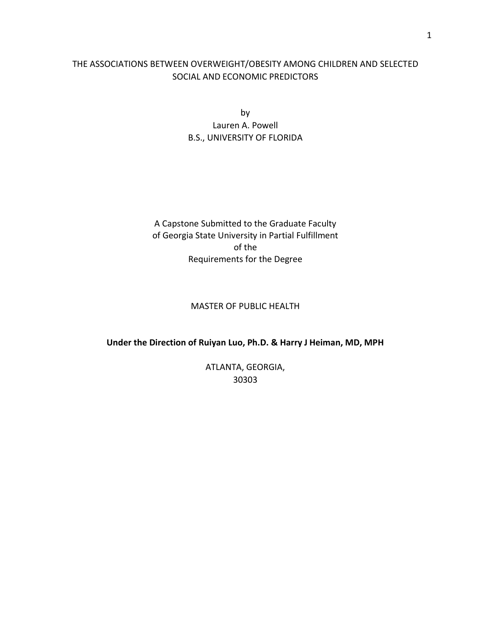## THE ASSOCIATIONS BETWEEN OVERWEIGHT/OBESITY AMONG CHILDREN AND SELECTED SOCIAL AND ECONOMIC PREDICTORS

by Lauren A. Powell B.S., UNIVERSITY OF FLORIDA

A Capstone Submitted to the Graduate Faculty of Georgia State University in Partial Fulfillment of the Requirements for the Degree

## MASTER OF PUBLIC HEALTH

### **Under the Direction of Ruiyan Luo, Ph.D. & Harry J Heiman, MD, MPH**

ATLANTA, GEORGIA, 30303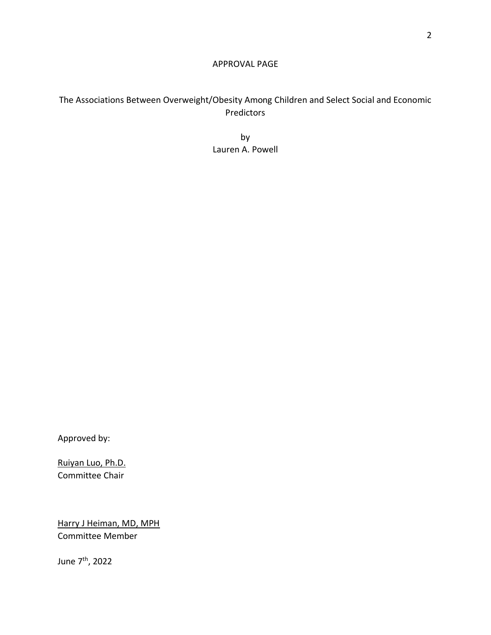## APPROVAL PAGE

## The Associations Between Overweight/Obesity Among Children and Select Social and Economic Predictors

by Lauren A. Powell

Approved by:

Ruiyan Luo, Ph.D. Committee Chair

Harry J Heiman, MD, MPH Committee Member

June 7th, 2022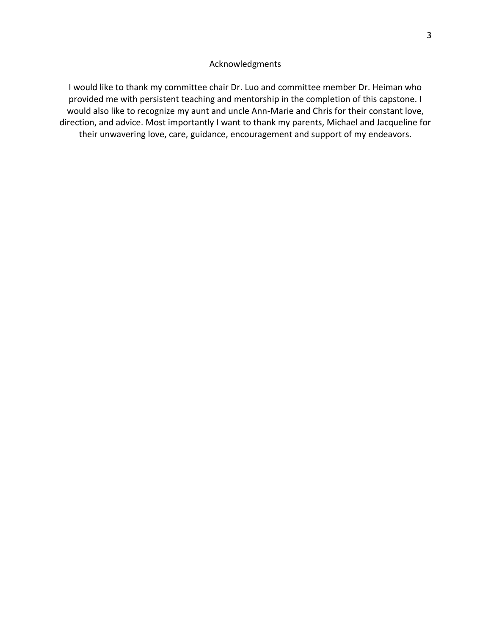## Acknowledgments

I would like to thank my committee chair Dr. Luo and committee member Dr. Heiman who provided me with persistent teaching and mentorship in the completion of this capstone. I would also like to recognize my aunt and uncle Ann-Marie and Chris for their constant love, direction, and advice. Most importantly I want to thank my parents, Michael and Jacqueline for their unwavering love, care, guidance, encouragement and support of my endeavors.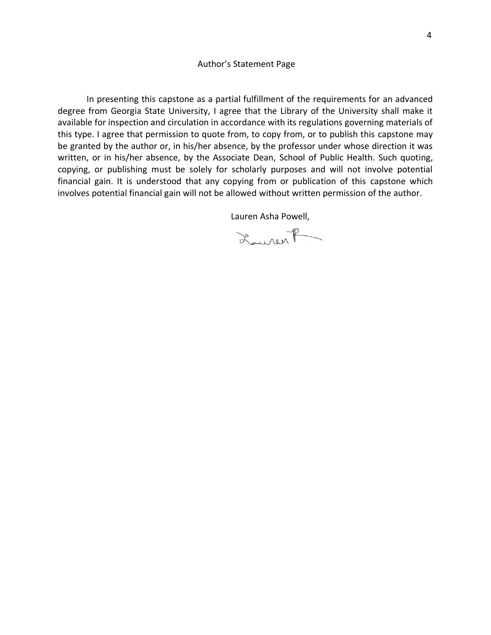#### Author's Statement Page

In presenting this capstone as a partial fulfillment of the requirements for an advanced degree from Georgia State University, I agree that the Library of the University shall make it available for inspection and circulation in accordance with its regulations governing materials of this type. I agree that permission to quote from, to copy from, or to publish this capstone may be granted by the author or, in his/her absence, by the professor under whose direction it was written, or in his/her absence, by the Associate Dean, School of Public Health. Such quoting, copying, or publishing must be solely for scholarly purposes and will not involve potential financial gain. It is understood that any copying from or publication of this capstone which involves potential financial gain will not be allowed without written permission of the author.

Lauren Asha Powell,

Lourent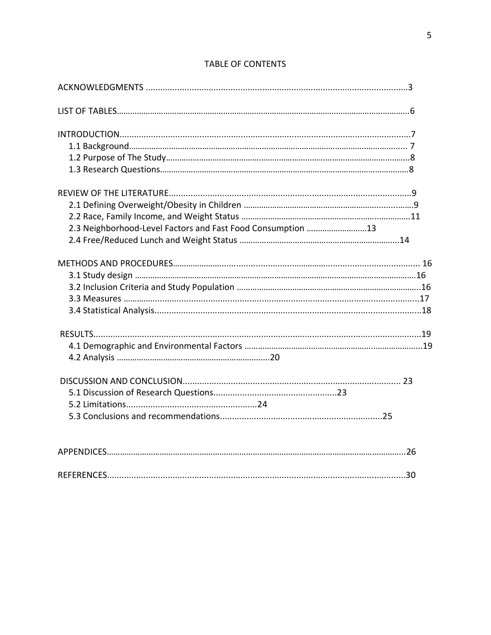| 2.3 Neighborhood-Level Factors and Fast Food Consumption 13 |
|-------------------------------------------------------------|
|                                                             |
|                                                             |
|                                                             |
|                                                             |
|                                                             |
|                                                             |
|                                                             |
|                                                             |
|                                                             |
|                                                             |
|                                                             |
|                                                             |
|                                                             |
|                                                             |
| .30                                                         |

## TABLE OF CONTENTS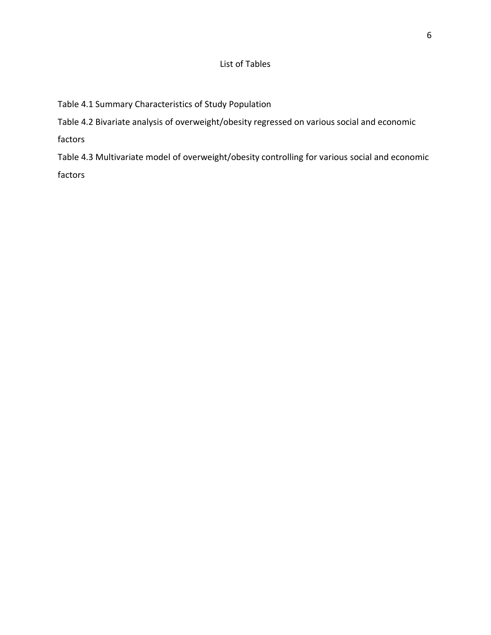## List of Tables

Table 4.1 Summary Characteristics of Study Population

Table 4.2 Bivariate analysis of overweight/obesity regressed on various social and economic

factors

Table 4.3 Multivariate model of overweight/obesity controlling for various social and economic factors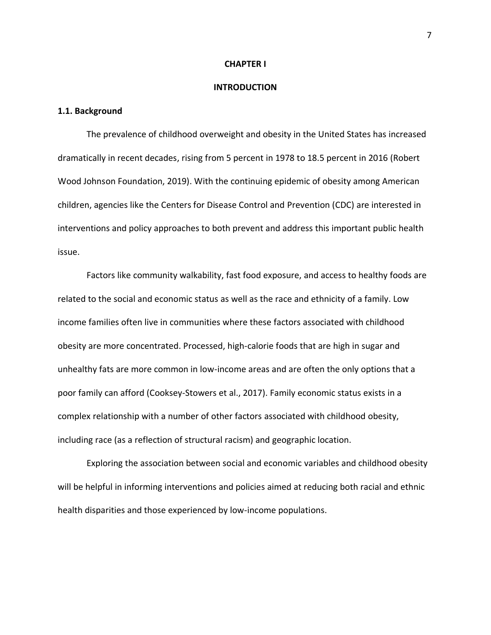#### **CHAPTER I**

#### **INTRODUCTION**

## **1.1. Background**

The prevalence of childhood overweight and obesity in the United States has increased dramatically in recent decades, rising from 5 percent in 1978 to 18.5 percent in 2016 (Robert Wood Johnson Foundation, 2019). With the continuing epidemic of obesity among American children, agencies like the Centers for Disease Control and Prevention (CDC) are interested in interventions and policy approaches to both prevent and address this important public health issue.

Factors like community walkability, fast food exposure, and access to healthy foods are related to the social and economic status as well as the race and ethnicity of a family. Low income families often live in communities where these factors associated with childhood obesity are more concentrated. Processed, high-calorie foods that are high in sugar and unhealthy fats are more common in low-income areas and are often the only options that a poor family can afford (Cooksey-Stowers et al., 2017). Family economic status exists in a complex relationship with a number of other factors associated with childhood obesity, including race (as a reflection of structural racism) and geographic location.

Exploring the association between social and economic variables and childhood obesity will be helpful in informing interventions and policies aimed at reducing both racial and ethnic health disparities and those experienced by low-income populations.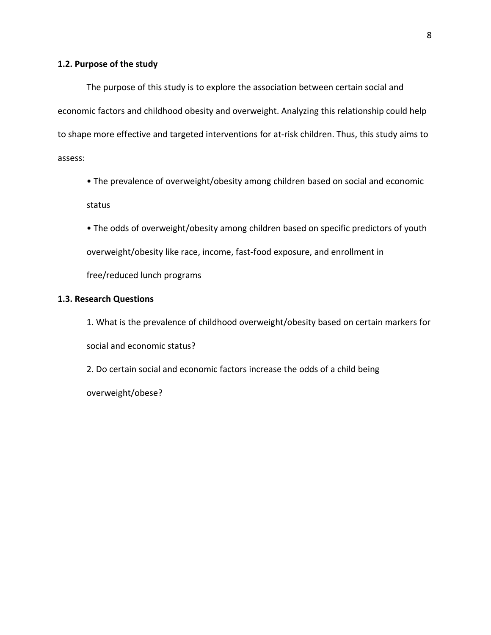## **1.2. Purpose of the study**

The purpose of this study is to explore the association between certain social and economic factors and childhood obesity and overweight. Analyzing this relationship could help to shape more effective and targeted interventions for at-risk children. Thus, this study aims to assess:

- The prevalence of overweight/obesity among children based on social and economic status
- The odds of overweight/obesity among children based on specific predictors of youth overweight/obesity like race, income, fast-food exposure, and enrollment in free/reduced lunch programs

### **1.3. Research Questions**

1. What is the prevalence of childhood overweight/obesity based on certain markers for social and economic status?

2. Do certain social and economic factors increase the odds of a child being

overweight/obese?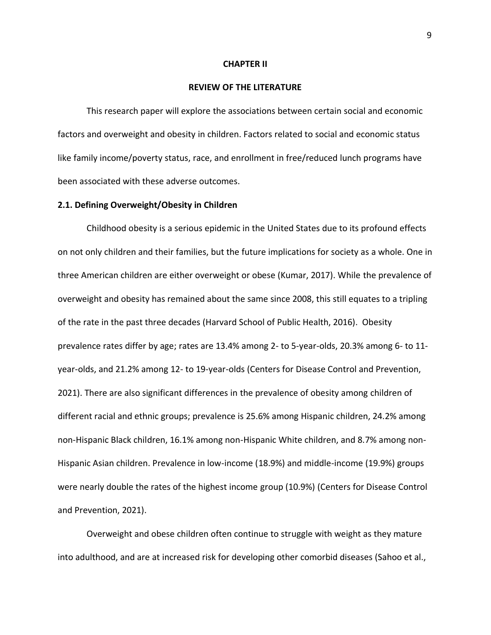#### **CHAPTER II**

#### **REVIEW OF THE LITERATURE**

This research paper will explore the associations between certain social and economic factors and overweight and obesity in children. Factors related to social and economic status like family income/poverty status, race, and enrollment in free/reduced lunch programs have been associated with these adverse outcomes.

#### **2.1. Defining Overweight/Obesity in Children**

Childhood obesity is a serious epidemic in the United States due to its profound effects on not only children and their families, but the future implications for society as a whole. One in three American children are either overweight or obese (Kumar, 2017). While the prevalence of overweight and obesity has remained about the same since 2008, this still equates to a tripling of the rate in the past three decades (Harvard School of Public Health, 2016). Obesity prevalence rates differ by age; rates are 13.4% among 2- to 5-year-olds, 20.3% among 6- to 11 year-olds, and 21.2% among 12- to 19-year-olds (Centers for Disease Control and Prevention, 2021). There are also significant differences in the prevalence of obesity among children of different racial and ethnic groups; prevalence is 25.6% among Hispanic children, 24.2% among non-Hispanic Black children, 16.1% among non-Hispanic White children, and 8.7% among non-Hispanic Asian children. Prevalence in low-income (18.9%) and middle-income (19.9%) groups were nearly double the rates of the highest income group (10.9%) (Centers for Disease Control and Prevention, 2021).

Overweight and obese children often continue to struggle with weight as they mature into adulthood, and are at increased risk for developing other comorbid diseases (Sahoo et al.,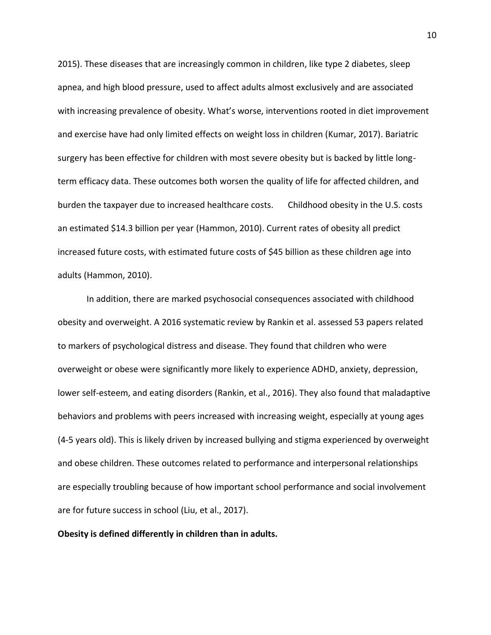2015). These diseases that are increasingly common in children, like type 2 diabetes, sleep apnea, and high blood pressure, used to affect adults almost exclusively and are associated with increasing prevalence of obesity. What's worse, interventions rooted in diet improvement and exercise have had only limited effects on weight loss in children (Kumar, 2017). Bariatric surgery has been effective for children with most severe obesity but is backed by little longterm efficacy data. These outcomes both worsen the quality of life for affected children, and burden the taxpayer due to increased healthcare costs. Childhood obesity in the U.S. costs an estimated \$14.3 billion per year (Hammon, 2010). Current rates of obesity all predict increased future costs, with estimated future costs of \$45 billion as these children age into adults (Hammon, 2010).

In addition, there are marked psychosocial consequences associated with childhood obesity and overweight. A 2016 systematic review by Rankin et al. assessed 53 papers related to markers of psychological distress and disease. They found that children who were overweight or obese were significantly more likely to experience ADHD, anxiety, depression, lower self-esteem, and eating disorders (Rankin, et al., 2016). They also found that maladaptive behaviors and problems with peers increased with increasing weight, especially at young ages (4-5 years old). This is likely driven by increased bullying and stigma experienced by overweight and obese children. These outcomes related to performance and interpersonal relationships are especially troubling because of how important school performance and social involvement are for future success in school (Liu, et al., 2017).

**Obesity is defined differently in children than in adults.**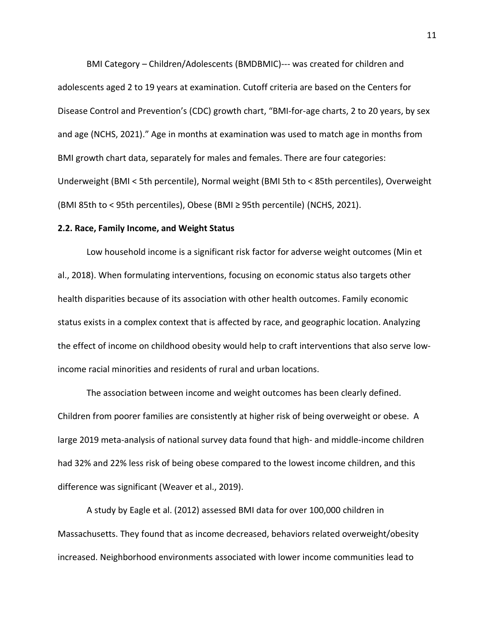BMI Category – Children/Adolescents (BMDBMIC)--- was created for children and adolescents aged 2 to 19 years at examination. Cutoff criteria are based on the Centers for Disease Control and Prevention's (CDC) growth chart, "BMI-for-age charts, 2 to 20 years, by sex and age (NCHS, 2021)." Age in months at examination was used to match age in months from BMI growth chart data, separately for males and females. There are four categories: Underweight (BMI < 5th percentile), Normal weight (BMI 5th to < 85th percentiles), Overweight (BMI 85th to < 95th percentiles), Obese (BMI ≥ 95th percentile) (NCHS, 2021).

#### **2.2. Race, Family Income, and Weight Status**

Low household income is a significant risk factor for adverse weight outcomes (Min et al., 2018). When formulating interventions, focusing on economic status also targets other health disparities because of its association with other health outcomes. Family economic status exists in a complex context that is affected by race, and geographic location. Analyzing the effect of income on childhood obesity would help to craft interventions that also serve lowincome racial minorities and residents of rural and urban locations.

The association between income and weight outcomes has been clearly defined. Children from poorer families are consistently at higher risk of being overweight or obese. A large 2019 meta-analysis of national survey data found that high- and middle-income children had 32% and 22% less risk of being obese compared to the lowest income children, and this difference was significant (Weaver et al., 2019).

A study by Eagle et al. (2012) assessed BMI data for over 100,000 children in Massachusetts. They found that as income decreased, behaviors related overweight/obesity increased. Neighborhood environments associated with lower income communities lead to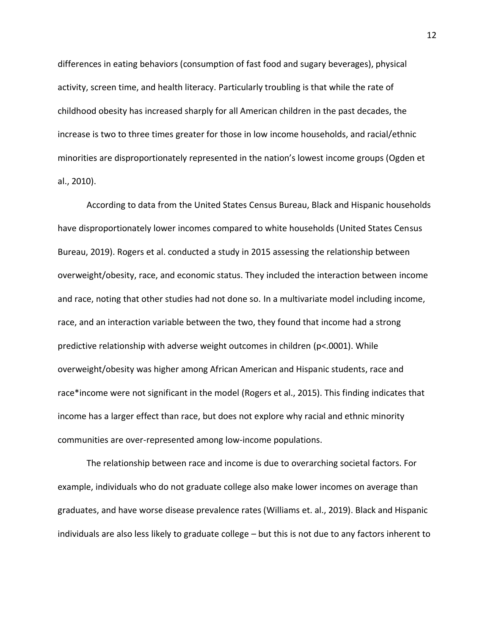differences in eating behaviors (consumption of fast food and sugary beverages), physical activity, screen time, and health literacy. Particularly troubling is that while the rate of childhood obesity has increased sharply for all American children in the past decades, the increase is two to three times greater for those in low income households, and racial/ethnic minorities are disproportionately represented in the nation's lowest income groups (Ogden et al., 2010).

According to data from the United States Census Bureau, Black and Hispanic households have disproportionately lower incomes compared to white households (United States Census Bureau, 2019). Rogers et al. conducted a study in 2015 assessing the relationship between overweight/obesity, race, and economic status. They included the interaction between income and race, noting that other studies had not done so. In a multivariate model including income, race, and an interaction variable between the two, they found that income had a strong predictive relationship with adverse weight outcomes in children (p<.0001). While overweight/obesity was higher among African American and Hispanic students, race and race\*income were not significant in the model (Rogers et al., 2015). This finding indicates that income has a larger effect than race, but does not explore why racial and ethnic minority communities are over-represented among low-income populations.

The relationship between race and income is due to overarching societal factors. For example, individuals who do not graduate college also make lower incomes on average than graduates, and have worse disease prevalence rates (Williams et. al., 2019). Black and Hispanic individuals are also less likely to graduate college – but this is not due to any factors inherent to

12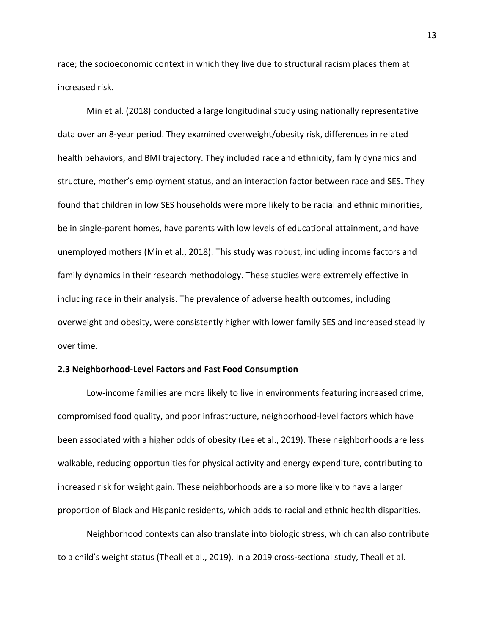race; the socioeconomic context in which they live due to structural racism places them at increased risk.

Min et al. (2018) conducted a large longitudinal study using nationally representative data over an 8-year period. They examined overweight/obesity risk, differences in related health behaviors, and BMI trajectory. They included race and ethnicity, family dynamics and structure, mother's employment status, and an interaction factor between race and SES. They found that children in low SES households were more likely to be racial and ethnic minorities, be in single-parent homes, have parents with low levels of educational attainment, and have unemployed mothers (Min et al., 2018). This study was robust, including income factors and family dynamics in their research methodology. These studies were extremely effective in including race in their analysis. The prevalence of adverse health outcomes, including overweight and obesity, were consistently higher with lower family SES and increased steadily over time.

#### **2.3 Neighborhood-Level Factors and Fast Food Consumption**

Low-income families are more likely to live in environments featuring increased crime, compromised food quality, and poor infrastructure, neighborhood-level factors which have been associated with a higher odds of obesity (Lee et al., 2019). These neighborhoods are less walkable, reducing opportunities for physical activity and energy expenditure, contributing to increased risk for weight gain. These neighborhoods are also more likely to have a larger proportion of Black and Hispanic residents, which adds to racial and ethnic health disparities.

Neighborhood contexts can also translate into biologic stress, which can also contribute to a child's weight status (Theall et al., 2019). In a 2019 cross-sectional study, Theall et al.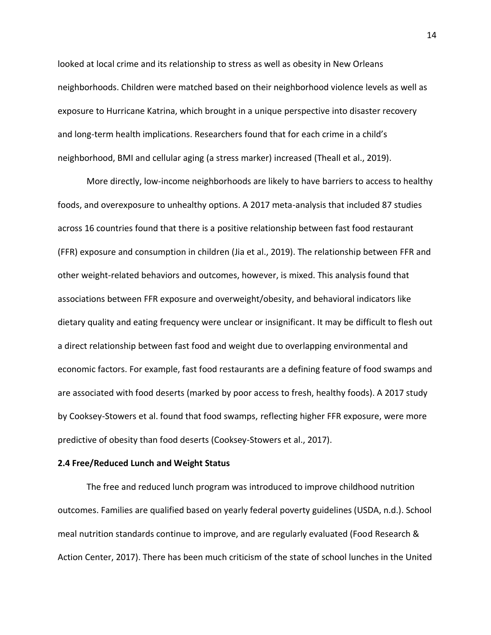looked at local crime and its relationship to stress as well as obesity in New Orleans neighborhoods. Children were matched based on their neighborhood violence levels as well as exposure to Hurricane Katrina, which brought in a unique perspective into disaster recovery and long-term health implications. Researchers found that for each crime in a child's neighborhood, BMI and cellular aging (a stress marker) increased (Theall et al., 2019).

More directly, low-income neighborhoods are likely to have barriers to access to healthy foods, and overexposure to unhealthy options. A 2017 meta-analysis that included 87 studies across 16 countries found that there is a positive relationship between fast food restaurant (FFR) exposure and consumption in children (Jia et al., 2019). The relationship between FFR and other weight-related behaviors and outcomes, however, is mixed. This analysis found that associations between FFR exposure and overweight/obesity, and behavioral indicators like dietary quality and eating frequency were unclear or insignificant. It may be difficult to flesh out a direct relationship between fast food and weight due to overlapping environmental and economic factors. For example, fast food restaurants are a defining feature of food swamps and are associated with food deserts (marked by poor access to fresh, healthy foods). A 2017 study by Cooksey-Stowers et al. found that food swamps, reflecting higher FFR exposure, were more predictive of obesity than food deserts (Cooksey-Stowers et al., 2017).

### **2.4 Free/Reduced Lunch and Weight Status**

The free and reduced lunch program was introduced to improve childhood nutrition outcomes. Families are qualified based on yearly federal poverty guidelines (USDA, n.d.). School meal nutrition standards continue to improve, and are regularly evaluated (Food Research & Action Center, 2017). There has been much criticism of the state of school lunches in the United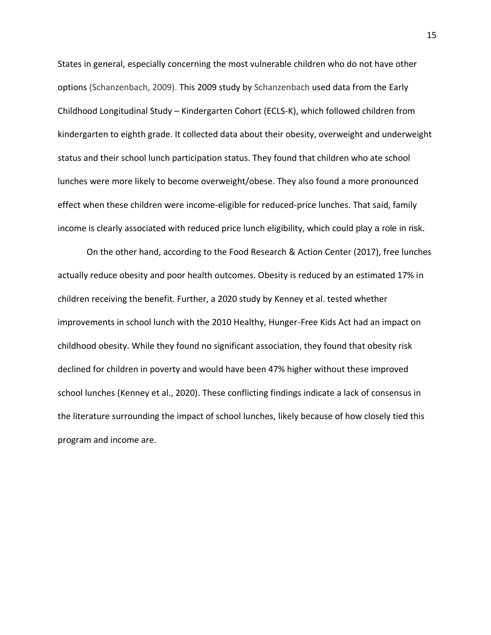States in general, especially concerning the most vulnerable children who do not have other options (Schanzenbach, 2009). This 2009 study by Schanzenbach used data from the Early Childhood Longitudinal Study – Kindergarten Cohort (ECLS-K), which followed children from kindergarten to eighth grade. It collected data about their obesity, overweight and underweight status and their school lunch participation status. They found that children who ate school lunches were more likely to become overweight/obese. They also found a more pronounced effect when these children were income-eligible for reduced-price lunches. That said, family income is clearly associated with reduced price lunch eligibility, which could play a role in risk.

On the other hand, according to the Food Research & Action Center (2017), free lunches actually reduce obesity and poor health outcomes. Obesity is reduced by an estimated 17% in children receiving the benefit. Further, a 2020 study by Kenney et al. tested whether improvements in school lunch with the 2010 Healthy, Hunger-Free Kids Act had an impact on childhood obesity. While they found no significant association, they found that obesity risk declined for children in poverty and would have been 47% higher without these improved school lunches (Kenney et al., 2020). These conflicting findings indicate a lack of consensus in the literature surrounding the impact of school lunches, likely because of how closely tied this program and income are.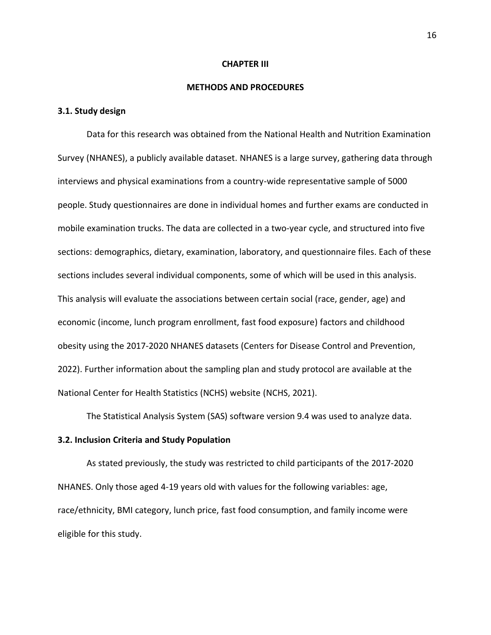#### **CHAPTER III**

#### **METHODS AND PROCEDURES**

## **3.1. Study design**

Data for this research was obtained from the National Health and Nutrition Examination Survey (NHANES), a publicly available dataset. NHANES is a large survey, gathering data through interviews and physical examinations from a country-wide representative sample of 5000 people. Study questionnaires are done in individual homes and further exams are conducted in mobile examination trucks. The data are collected in a two-year cycle, and structured into five sections: demographics, dietary, examination, laboratory, and questionnaire files. Each of these sections includes several individual components, some of which will be used in this analysis. This analysis will evaluate the associations between certain social (race, gender, age) and economic (income, lunch program enrollment, fast food exposure) factors and childhood obesity using the 2017-2020 NHANES datasets (Centers for Disease Control and Prevention, 2022). Further information about the sampling plan and study protocol are available at the National Center for Health Statistics (NCHS) website (NCHS, 2021).

The Statistical Analysis System (SAS) software version 9.4 was used to analyze data.

#### **3.2. Inclusion Criteria and Study Population**

As stated previously, the study was restricted to child participants of the 2017-2020 NHANES. Only those aged 4-19 years old with values for the following variables: age, race/ethnicity, BMI category, lunch price, fast food consumption, and family income were eligible for this study.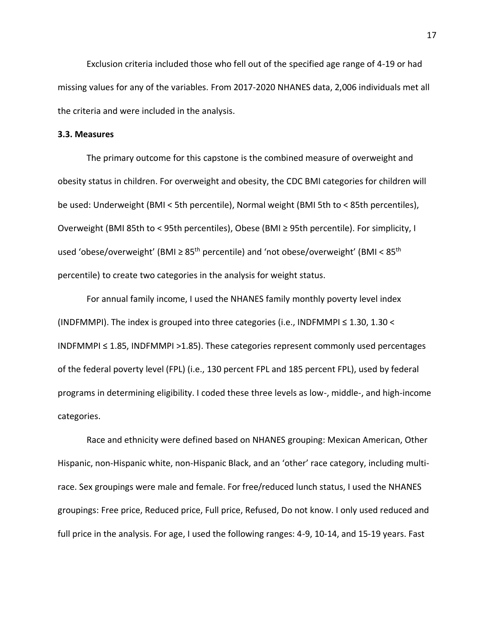Exclusion criteria included those who fell out of the specified age range of 4-19 or had missing values for any of the variables. From 2017-2020 NHANES data, 2,006 individuals met all the criteria and were included in the analysis.

### **3.3. Measures**

The primary outcome for this capstone is the combined measure of overweight and obesity status in children. For overweight and obesity, the CDC BMI categories for children will be used: Underweight (BMI < 5th percentile), Normal weight (BMI 5th to < 85th percentiles), Overweight (BMI 85th to < 95th percentiles), Obese (BMI ≥ 95th percentile). For simplicity, I used 'obese/overweight' (BMI  $\geq 85$ <sup>th</sup> percentile) and 'not obese/overweight' (BMI <  $85$ <sup>th</sup> percentile) to create two categories in the analysis for weight status.

For annual family income, I used the NHANES family monthly poverty level index (INDFMMPI). The index is grouped into three categories (i.e., INDFMMPI  $\leq 1.30$ , 1.30 < INDFMMPI  $\leq$  1.85, INDFMMPI > 1.85). These categories represent commonly used percentages of the federal poverty level (FPL) (i.e., 130 percent FPL and 185 percent FPL), used by federal programs in determining eligibility. I coded these three levels as low-, middle-, and high-income categories.

Race and ethnicity were defined based on NHANES grouping: Mexican American, Other Hispanic, non-Hispanic white, non-Hispanic Black, and an 'other' race category, including multirace. Sex groupings were male and female. For free/reduced lunch status, I used the NHANES groupings: Free price, Reduced price, Full price, Refused, Do not know. I only used reduced and full price in the analysis. For age, I used the following ranges: 4-9, 10-14, and 15-19 years. Fast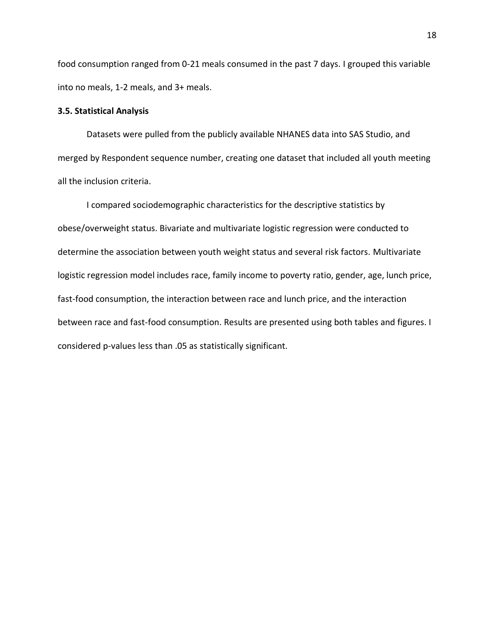food consumption ranged from 0-21 meals consumed in the past 7 days. I grouped this variable into no meals, 1-2 meals, and 3+ meals.

### **3.5. Statistical Analysis**

Datasets were pulled from the publicly available NHANES data into SAS Studio, and merged by Respondent sequence number, creating one dataset that included all youth meeting all the inclusion criteria.

I compared sociodemographic characteristics for the descriptive statistics by obese/overweight status. Bivariate and multivariate logistic regression were conducted to determine the association between youth weight status and several risk factors. Multivariate logistic regression model includes race, family income to poverty ratio, gender, age, lunch price, fast-food consumption, the interaction between race and lunch price, and the interaction between race and fast-food consumption. Results are presented using both tables and figures. I considered p-values less than .05 as statistically significant.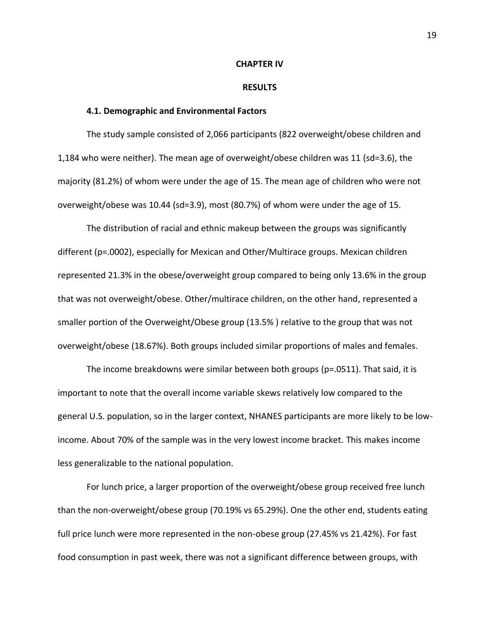#### **CHAPTER IV**

#### **RESULTS**

#### **4.1. Demographic and Environmental Factors**

The study sample consisted of 2,066 participants (822 overweight/obese children and 1,184 who were neither). The mean age of overweight/obese children was 11 (sd=3.6), the majority (81.2%) of whom were under the age of 15. The mean age of children who were not overweight/obese was 10.44 (sd=3.9), most (80.7%) of whom were under the age of 15.

The distribution of racial and ethnic makeup between the groups was significantly different (p=.0002), especially for Mexican and Other/Multirace groups. Mexican children represented 21.3% in the obese/overweight group compared to being only 13.6% in the group that was not overweight/obese. Other/multirace children, on the other hand, represented a smaller portion of the Overweight/Obese group (13.5% ) relative to the group that was not overweight/obese (18.67%). Both groups included similar proportions of males and females.

The income breakdowns were similar between both groups (p=.0511). That said, it is important to note that the overall income variable skews relatively low compared to the general U.S. population, so in the larger context, NHANES participants are more likely to be lowincome. About 70% of the sample was in the very lowest income bracket. This makes income less generalizable to the national population.

For lunch price, a larger proportion of the overweight/obese group received free lunch than the non-overweight/obese group (70.19% vs 65.29%). One the other end, students eating full price lunch were more represented in the non-obese group (27.45% vs 21.42%). For fast food consumption in past week, there was not a significant difference between groups, with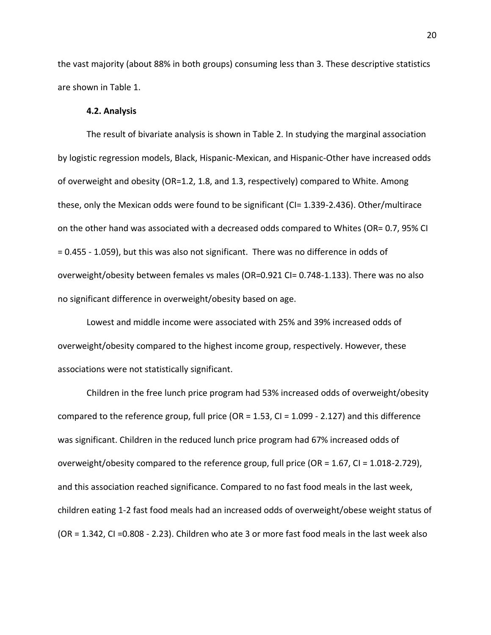the vast majority (about 88% in both groups) consuming less than 3. These descriptive statistics are shown in Table 1.

#### **4.2. Analysis**

The result of bivariate analysis is shown in Table 2. In studying the marginal association by logistic regression models, Black, Hispanic-Mexican, and Hispanic-Other have increased odds of overweight and obesity (OR=1.2, 1.8, and 1.3, respectively) compared to White. Among these, only the Mexican odds were found to be significant (CI= 1.339-2.436). Other/multirace on the other hand was associated with a decreased odds compared to Whites (OR= 0.7, 95% CI = 0.455 - 1.059), but this was also not significant. There was no difference in odds of overweight/obesity between females vs males (OR=0.921 CI= 0.748-1.133). There was no also no significant difference in overweight/obesity based on age.

Lowest and middle income were associated with 25% and 39% increased odds of overweight/obesity compared to the highest income group, respectively. However, these associations were not statistically significant.

Children in the free lunch price program had 53% increased odds of overweight/obesity compared to the reference group, full price (OR =  $1.53$ , CI =  $1.099$  -  $2.127$ ) and this difference was significant. Children in the reduced lunch price program had 67% increased odds of overweight/obesity compared to the reference group, full price (OR = 1.67, CI = 1.018-2.729), and this association reached significance. Compared to no fast food meals in the last week, children eating 1-2 fast food meals had an increased odds of overweight/obese weight status of (OR = 1.342, CI =0.808 - 2.23). Children who ate 3 or more fast food meals in the last week also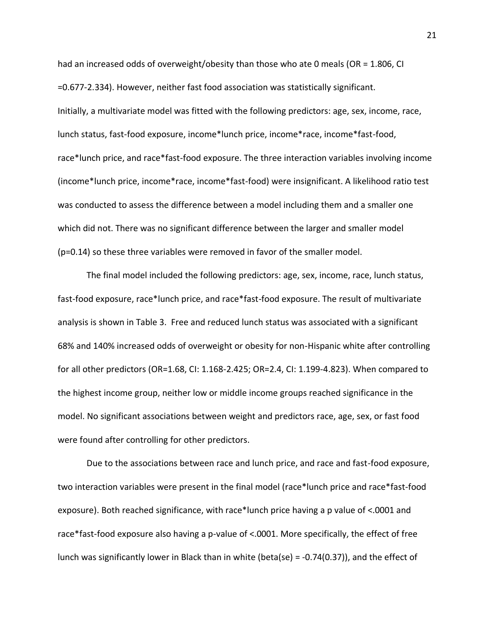had an increased odds of overweight/obesity than those who ate 0 meals (OR = 1.806, CI =0.677-2.334). However, neither fast food association was statistically significant. Initially, a multivariate model was fitted with the following predictors: age, sex, income, race, lunch status, fast-food exposure, income\*lunch price, income\*race, income\*fast-food, race\*lunch price, and race\*fast-food exposure. The three interaction variables involving income (income\*lunch price, income\*race, income\*fast-food) were insignificant. A likelihood ratio test was conducted to assess the difference between a model including them and a smaller one which did not. There was no significant difference between the larger and smaller model (p=0.14) so these three variables were removed in favor of the smaller model.

The final model included the following predictors: age, sex, income, race, lunch status, fast-food exposure, race\*lunch price, and race\*fast-food exposure. The result of multivariate analysis is shown in Table 3. Free and reduced lunch status was associated with a significant 68% and 140% increased odds of overweight or obesity for non-Hispanic white after controlling for all other predictors (OR=1.68, CI: 1.168-2.425; OR=2.4, CI: 1.199-4.823). When compared to the highest income group, neither low or middle income groups reached significance in the model. No significant associations between weight and predictors race, age, sex, or fast food were found after controlling for other predictors.

Due to the associations between race and lunch price, and race and fast-food exposure, two interaction variables were present in the final model (race\*lunch price and race\*fast-food exposure). Both reached significance, with race\*lunch price having a p value of <.0001 and race\*fast-food exposure also having a p-value of <.0001. More specifically, the effect of free lunch was significantly lower in Black than in white (beta(se) = -0.74(0.37)), and the effect of

21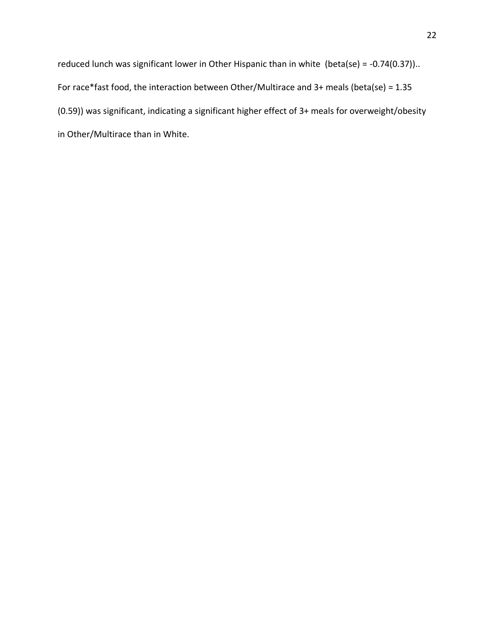reduced lunch was significant lower in Other Hispanic than in white (beta(se) = -0.74(0.37)).. For race\*fast food, the interaction between Other/Multirace and 3+ meals (beta(se) = 1.35 (0.59)) was significant, indicating a significant higher effect of 3+ meals for overweight/obesity in Other/Multirace than in White.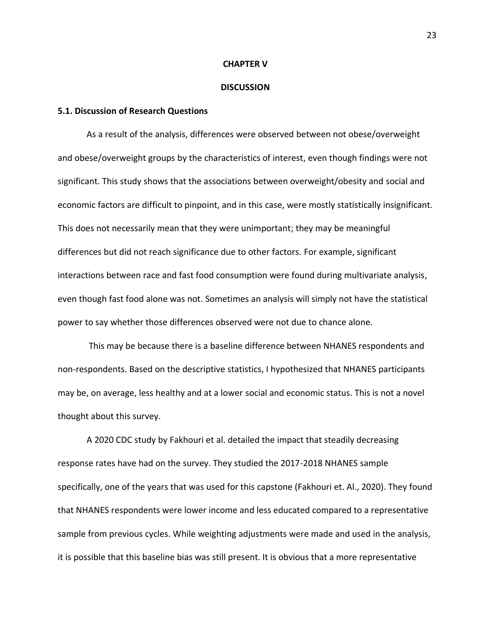#### **CHAPTER V**

#### **DISCUSSION**

### **5.1. Discussion of Research Questions**

As a result of the analysis, differences were observed between not obese/overweight and obese/overweight groups by the characteristics of interest, even though findings were not significant. This study shows that the associations between overweight/obesity and social and economic factors are difficult to pinpoint, and in this case, were mostly statistically insignificant. This does not necessarily mean that they were unimportant; they may be meaningful differences but did not reach significance due to other factors. For example, significant interactions between race and fast food consumption were found during multivariate analysis, even though fast food alone was not. Sometimes an analysis will simply not have the statistical power to say whether those differences observed were not due to chance alone.

This may be because there is a baseline difference between NHANES respondents and non-respondents. Based on the descriptive statistics, I hypothesized that NHANES participants may be, on average, less healthy and at a lower social and economic status. This is not a novel thought about this survey.

A 2020 CDC study by Fakhouri et al. detailed the impact that steadily decreasing response rates have had on the survey. They studied the 2017-2018 NHANES sample specifically, one of the years that was used for this capstone (Fakhouri et. Al., 2020). They found that NHANES respondents were lower income and less educated compared to a representative sample from previous cycles. While weighting adjustments were made and used in the analysis, it is possible that this baseline bias was still present. It is obvious that a more representative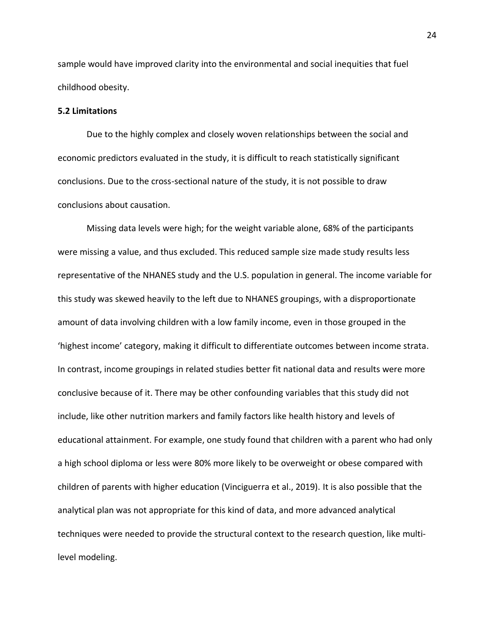sample would have improved clarity into the environmental and social inequities that fuel childhood obesity.

## **5.2 Limitations**

Due to the highly complex and closely woven relationships between the social and economic predictors evaluated in the study, it is difficult to reach statistically significant conclusions. Due to the cross-sectional nature of the study, it is not possible to draw conclusions about causation.

Missing data levels were high; for the weight variable alone, 68% of the participants were missing a value, and thus excluded. This reduced sample size made study results less representative of the NHANES study and the U.S. population in general. The income variable for this study was skewed heavily to the left due to NHANES groupings, with a disproportionate amount of data involving children with a low family income, even in those grouped in the 'highest income' category, making it difficult to differentiate outcomes between income strata. In contrast, income groupings in related studies better fit national data and results were more conclusive because of it. There may be other confounding variables that this study did not include, like other nutrition markers and family factors like health history and levels of educational attainment. For example, one study found that children with a parent who had only a high school diploma or less were 80% more likely to be overweight or obese compared with children of parents with higher education (Vinciguerra et al., 2019). It is also possible that the analytical plan was not appropriate for this kind of data, and more advanced analytical techniques were needed to provide the structural context to the research question, like multilevel modeling.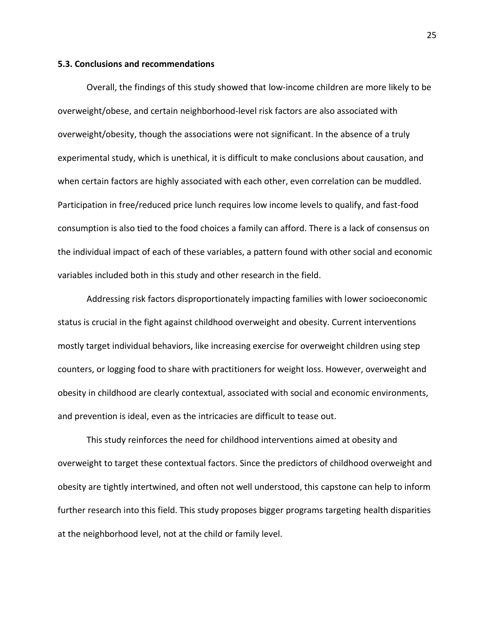#### **5.3. Conclusions and recommendations**

Overall, the findings of this study showed that low-income children are more likely to be overweight/obese, and certain neighborhood-level risk factors are also associated with overweight/obesity, though the associations were not significant. In the absence of a truly experimental study, which is unethical, it is difficult to make conclusions about causation, and when certain factors are highly associated with each other, even correlation can be muddled. Participation in free/reduced price lunch requires low income levels to qualify, and fast-food consumption is also tied to the food choices a family can afford. There is a lack of consensus on the individual impact of each of these variables, a pattern found with other social and economic variables included both in this study and other research in the field.

Addressing risk factors disproportionately impacting families with lower socioeconomic status is crucial in the fight against childhood overweight and obesity. Current interventions mostly target individual behaviors, like increasing exercise for overweight children using step counters, or logging food to share with practitioners for weight loss. However, overweight and obesity in childhood are clearly contextual, associated with social and economic environments, and prevention is ideal, even as the intricacies are difficult to tease out.

This study reinforces the need for childhood interventions aimed at obesity and overweight to target these contextual factors. Since the predictors of childhood overweight and obesity are tightly intertwined, and often not well understood, this capstone can help to inform further research into this field. This study proposes bigger programs targeting health disparities at the neighborhood level, not at the child or family level.

25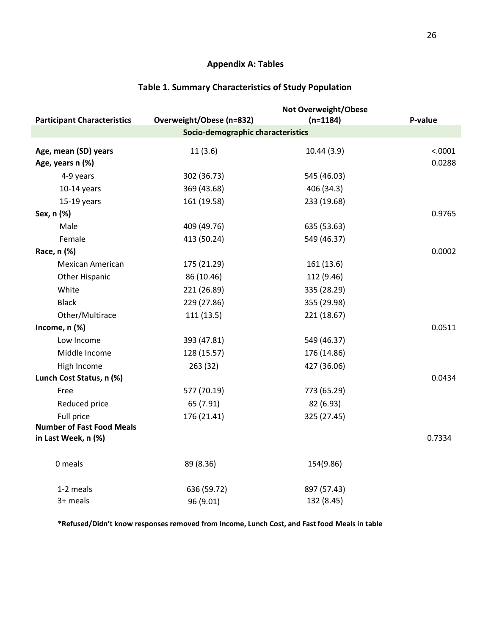## **Appendix A: Tables**

|                                                         |                          | Not Overweight/Obese |         |  |  |  |
|---------------------------------------------------------|--------------------------|----------------------|---------|--|--|--|
| <b>Participant Characteristics</b>                      | Overweight/Obese (n=832) | $(n=1184)$           | P-value |  |  |  |
| Socio-demographic characteristics                       |                          |                      |         |  |  |  |
| Age, mean (SD) years                                    | 11(3.6)                  | 10.44(3.9)           | < .0001 |  |  |  |
| Age, years n (%)                                        |                          |                      | 0.0288  |  |  |  |
| 4-9 years                                               | 302 (36.73)              | 545 (46.03)          |         |  |  |  |
| $10-14$ years                                           | 369 (43.68)              | 406 (34.3)           |         |  |  |  |
| $15-19$ years                                           | 161 (19.58)              | 233 (19.68)          |         |  |  |  |
| Sex, n (%)                                              |                          |                      | 0.9765  |  |  |  |
| Male                                                    | 409 (49.76)              | 635 (53.63)          |         |  |  |  |
| Female                                                  | 413 (50.24)              | 549 (46.37)          |         |  |  |  |
| Race, n (%)                                             |                          |                      | 0.0002  |  |  |  |
| <b>Mexican American</b>                                 | 175 (21.29)              | 161 (13.6)           |         |  |  |  |
| <b>Other Hispanic</b>                                   | 86 (10.46)               | 112 (9.46)           |         |  |  |  |
| White                                                   | 221 (26.89)              | 335 (28.29)          |         |  |  |  |
| <b>Black</b>                                            | 229 (27.86)              | 355 (29.98)          |         |  |  |  |
| Other/Multirace                                         | 111(13.5)                | 221 (18.67)          |         |  |  |  |
| Income, n (%)                                           |                          |                      | 0.0511  |  |  |  |
| Low Income                                              | 393 (47.81)              | 549 (46.37)          |         |  |  |  |
| Middle Income                                           | 128 (15.57)              | 176 (14.86)          |         |  |  |  |
| High Income                                             | 263 (32)                 | 427 (36.06)          |         |  |  |  |
| Lunch Cost Status, n (%)                                |                          |                      | 0.0434  |  |  |  |
| Free                                                    | 577 (70.19)              | 773 (65.29)          |         |  |  |  |
| Reduced price                                           | 65 (7.91)                | 82 (6.93)            |         |  |  |  |
| Full price                                              | 176 (21.41)              | 325 (27.45)          |         |  |  |  |
| <b>Number of Fast Food Meals</b><br>in Last Week, n (%) |                          |                      | 0.7334  |  |  |  |
| 0 meals                                                 | 89 (8.36)                | 154(9.86)            |         |  |  |  |
| 1-2 meals                                               | 636 (59.72)              | 897 (57.43)          |         |  |  |  |
| 3+ meals                                                | 96 (9.01)                | 132 (8.45)           |         |  |  |  |

## **Table 1. Summary Characteristics of Study Population**

**\*Refused/Didn't know responses removed from Income, Lunch Cost, and Fast food Meals in table**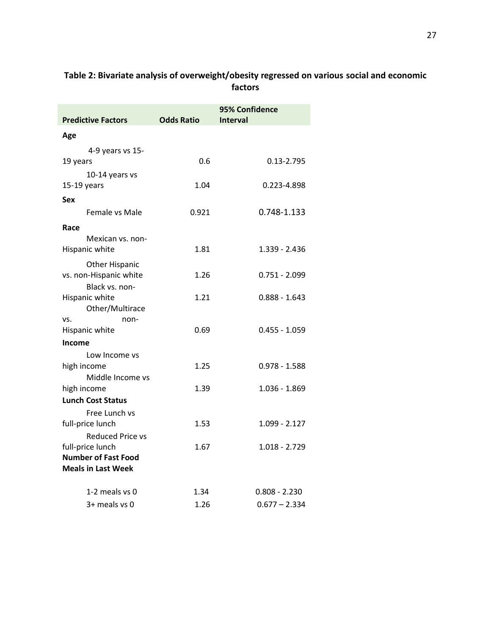| <b>Predictive Factors</b>     | <b>Odds Ratio</b> | 95% Confidence<br><b>Interval</b> |  |  |
|-------------------------------|-------------------|-----------------------------------|--|--|
| Age                           |                   |                                   |  |  |
| 4-9 years vs 15-              |                   |                                   |  |  |
| 19 years                      | 0.6               | 0.13-2.795                        |  |  |
| 10-14 years vs                |                   |                                   |  |  |
| $15-19$ years                 | 1.04              | 0.223-4.898                       |  |  |
| Sex                           |                   |                                   |  |  |
| Female vs Male                | 0.921             | 0.748-1.133                       |  |  |
| Race                          |                   |                                   |  |  |
| Mexican vs. non-              |                   |                                   |  |  |
| Hispanic white                | 1.81              | $1.339 - 2.436$                   |  |  |
| <b>Other Hispanic</b>         |                   |                                   |  |  |
| vs. non-Hispanic white        | 1.26              | $0.751 - 2.099$                   |  |  |
| Black vs. non-                |                   |                                   |  |  |
| Hispanic white                | 1.21              | $0.888 - 1.643$                   |  |  |
| Other/Multirace               |                   |                                   |  |  |
| VS.<br>non-<br>Hispanic white | 0.69              | $0.455 - 1.059$                   |  |  |
| Income                        |                   |                                   |  |  |
| Low Income vs                 |                   |                                   |  |  |
| high income                   | 1.25              | 0.978 - 1.588                     |  |  |
| Middle Income vs              |                   |                                   |  |  |
| high income                   | 1.39              | $1.036 - 1.869$                   |  |  |
| <b>Lunch Cost Status</b>      |                   |                                   |  |  |
| Free Lunch vs                 |                   |                                   |  |  |
| full-price lunch              | 1.53              | 1.099 - 2.127                     |  |  |
| <b>Reduced Price vs</b>       |                   |                                   |  |  |
| full-price lunch              | 1.67              | $1.018 - 2.729$                   |  |  |
| <b>Number of Fast Food</b>    |                   |                                   |  |  |
| <b>Meals in Last Week</b>     |                   |                                   |  |  |
| 1-2 meals vs 0                | 1.34              | $0.808 - 2.230$                   |  |  |
| 3+ meals vs 0                 | 1.26              | $0.677 - 2.334$                   |  |  |

## **Table 2: Bivariate analysis of overweight/obesity regressed on various social and economic factors**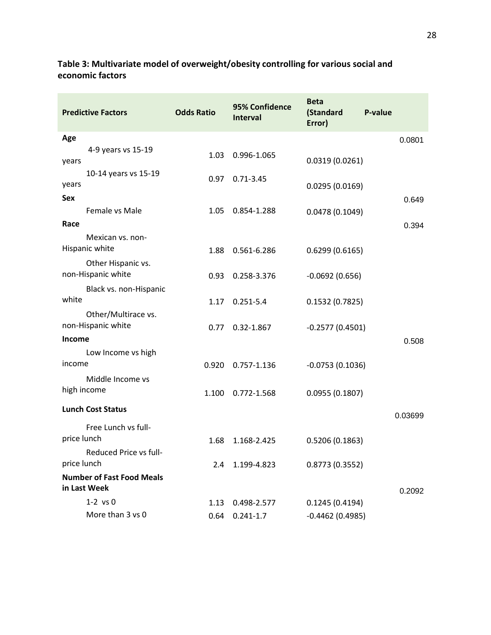## **Table 3: Multivariate model of overweight/obesity controlling for various social and economic factors**

| <b>Predictive Factors</b>                 | <b>Odds Ratio</b> | 95% Confidence<br><b>Interval</b> | <b>Beta</b><br>(Standard<br>Error) | P-value |
|-------------------------------------------|-------------------|-----------------------------------|------------------------------------|---------|
| Age                                       |                   |                                   |                                    | 0.0801  |
| 4-9 years vs 15-19<br>years               | 1.03              | 0.996-1.065                       | 0.0319(0.0261)                     |         |
| 10-14 years vs 15-19<br>years             | 0.97              | $0.71 - 3.45$                     | 0.0295(0.0169)                     |         |
| <b>Sex</b>                                |                   |                                   |                                    | 0.649   |
| Female vs Male                            | 1.05              | 0.854-1.288                       | 0.0478(0.1049)                     |         |
| Race                                      |                   |                                   |                                    | 0.394   |
| Mexican vs. non-<br>Hispanic white        | 1.88              | 0.561-6.286                       | 0.6299(0.6165)                     |         |
| Other Hispanic vs.<br>non-Hispanic white  | 0.93              | 0.258-3.376                       | $-0.0692(0.656)$                   |         |
| Black vs. non-Hispanic                    |                   |                                   |                                    |         |
| white                                     | 1.17              | $0.251 - 5.4$                     | 0.1532(0.7825)                     |         |
| Other/Multirace vs.<br>non-Hispanic white | 0.77              | $0.32 - 1.867$                    | $-0.2577(0.4501)$                  |         |
| <b>Income</b>                             |                   |                                   |                                    | 0.508   |
| Low Income vs high                        |                   |                                   |                                    |         |
| income                                    | 0.920             | 0.757-1.136                       | $-0.0753(0.1036)$                  |         |
| Middle Income vs                          |                   |                                   |                                    |         |
| high income                               | 1.100             | 0.772-1.568                       | 0.0955(0.1807)                     |         |
| <b>Lunch Cost Status</b>                  |                   |                                   |                                    | 0.03699 |
| Free Lunch vs full-                       |                   |                                   |                                    |         |
| price lunch                               | 1.68              | 1.168-2.425                       | 0.5206(0.1863)                     |         |
| Reduced Price vs full-<br>price lunch     | 2.4               | 1.199-4.823                       | 0.8773(0.3552)                     |         |
| <b>Number of Fast Food Meals</b>          |                   |                                   |                                    |         |
| in Last Week                              |                   |                                   |                                    | 0.2092  |
| $1-2$ vs $0$                              | 1.13              | 0.498-2.577                       | 0.1245(0.4194)                     |         |
| More than 3 vs 0                          | 0.64              | $0.241 - 1.7$                     | $-0.4462(0.4985)$                  |         |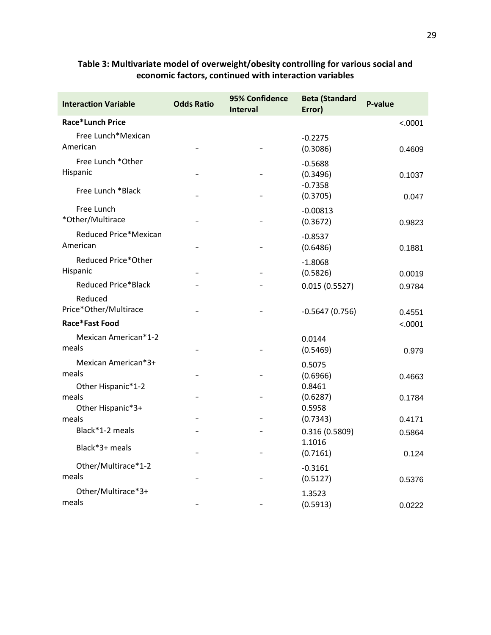| <b>Interaction Variable</b>                      | <b>Odds Ratio</b> | 95% Confidence<br><b>Interval</b> | <b>Beta (Standard</b><br>Error) | P-value |
|--------------------------------------------------|-------------------|-----------------------------------|---------------------------------|---------|
| <b>Race*Lunch Price</b>                          |                   |                                   |                                 | < .0001 |
| Free Lunch*Mexican<br>American                   |                   |                                   | $-0.2275$<br>(0.3086)           | 0.4609  |
| Free Lunch *Other<br>Hispanic                    |                   |                                   | $-0.5688$<br>(0.3496)           | 0.1037  |
| Free Lunch *Black                                |                   |                                   | $-0.7358$<br>(0.3705)           | 0.047   |
| Free Lunch<br>*Other/Multirace                   |                   |                                   | $-0.00813$<br>(0.3672)          | 0.9823  |
| Reduced Price*Mexican<br>American                |                   |                                   | $-0.8537$<br>(0.6486)           | 0.1881  |
| Reduced Price*Other<br>Hispanic                  |                   | $\qquad \qquad -$                 | $-1.8068$<br>(0.5826)           | 0.0019  |
| <b>Reduced Price*Black</b>                       |                   |                                   | 0.015(0.5527)                   | 0.9784  |
| Reduced<br>Price*Other/Multirace                 |                   |                                   | $-0.5647(0.756)$                | 0.4551  |
| Race*Fast Food                                   |                   |                                   |                                 | < .0001 |
| Mexican American*1-2<br>meals                    |                   |                                   | 0.0144<br>(0.5469)              | 0.979   |
| Mexican American*3+<br>meals                     |                   |                                   | 0.5075<br>(0.6966)              | 0.4663  |
| Other Hispanic*1-2<br>meals<br>Other Hispanic*3+ |                   |                                   | 0.8461<br>(0.6287)<br>0.5958    | 0.1784  |
| meals                                            |                   | $\overline{\phantom{0}}$          | (0.7343)                        | 0.4171  |
| Black*1-2 meals                                  |                   |                                   | 0.316 (0.5809)                  | 0.5864  |
| Black*3+ meals                                   |                   |                                   | 1.1016<br>(0.7161)              | 0.124   |
| Other/Multirace*1-2<br>meals                     |                   |                                   | $-0.3161$<br>(0.5127)           | 0.5376  |
| Other/Multirace*3+<br>meals                      |                   |                                   | 1.3523<br>(0.5913)              | 0.0222  |

## **Table 3: Multivariate model of overweight/obesity controlling for various social and economic factors, continued with interaction variables**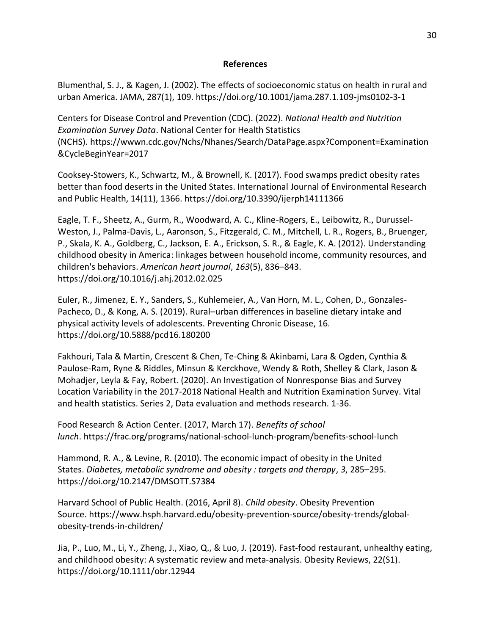## **References**

Blumenthal, S. J., & Kagen, J. (2002). The effects of socioeconomic status on health in rural and urban America. JAMA, 287(1), 109. https://doi.org/10.1001/jama.287.1.109-jms0102-3-1

Centers for Disease Control and Prevention (CDC). (2022). *National Health and Nutrition Examination Survey Data*. National Center for Health Statistics (NCHS). https://wwwn.cdc.gov/Nchs/Nhanes/Search/DataPage.aspx?Component=Examination &CycleBeginYear=2017

Cooksey-Stowers, K., Schwartz, M., & Brownell, K. (2017). Food swamps predict obesity rates better than food deserts in the United States. International Journal of Environmental Research and Public Health, 14(11), 1366. https://doi.org/10.3390/ijerph14111366

Eagle, T. F., Sheetz, A., Gurm, R., Woodward, A. C., Kline-Rogers, E., Leibowitz, R., Durussel-Weston, J., Palma-Davis, L., Aaronson, S., Fitzgerald, C. M., Mitchell, L. R., Rogers, B., Bruenger, P., Skala, K. A., Goldberg, C., Jackson, E. A., Erickson, S. R., & Eagle, K. A. (2012). Understanding childhood obesity in America: linkages between household income, community resources, and children's behaviors. *American heart journal*, *163*(5), 836–843. https://doi.org/10.1016/j.ahj.2012.02.025

Euler, R., Jimenez, E. Y., Sanders, S., Kuhlemeier, A., Van Horn, M. L., Cohen, D., Gonzales-Pacheco, D., & Kong, A. S. (2019). Rural–urban differences in baseline dietary intake and physical activity levels of adolescents. Preventing Chronic Disease, 16. https://doi.org/10.5888/pcd16.180200

Fakhouri, Tala & Martin, Crescent & Chen, Te-Ching & Akinbami, Lara & Ogden, Cynthia & Paulose-Ram, Ryne & Riddles, Minsun & Kerckhove, Wendy & Roth, Shelley & Clark, Jason & Mohadjer, Leyla & Fay, Robert. (2020). An Investigation of Nonresponse Bias and Survey Location Variability in the 2017-2018 National Health and Nutrition Examination Survey. Vital and health statistics. Series 2, Data evaluation and methods research. 1-36.

Food Research & Action Center. (2017, March 17). *Benefits of school lunch*. https://frac.org/programs/national-school-lunch-program/benefits-school-lunch

Hammond, R. A., & Levine, R. (2010). The economic impact of obesity in the United States. *Diabetes, metabolic syndrome and obesity : targets and therapy*, *3*, 285–295. https://doi.org/10.2147/DMSOTT.S7384

Harvard School of Public Health. (2016, April 8). *Child obesity*. Obesity Prevention Source. https://www.hsph.harvard.edu/obesity-prevention-source/obesity-trends/globalobesity-trends-in-children/

Jia, P., Luo, M., Li, Y., Zheng, J., Xiao, Q., & Luo, J. (2019). Fast‐food restaurant, unhealthy eating, and childhood obesity: A systematic review and meta‐analysis. Obesity Reviews, 22(S1). https://doi.org/10.1111/obr.12944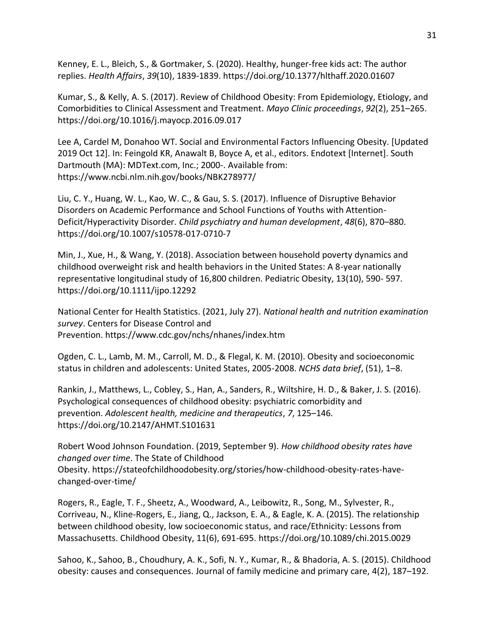Kenney, E. L., Bleich, S., & Gortmaker, S. (2020). Healthy, hunger-free kids act: The author replies. *Health Affairs*, *39*(10), 1839-1839. https://doi.org/10.1377/hlthaff.2020.01607

Kumar, S., & Kelly, A. S. (2017). Review of Childhood Obesity: From Epidemiology, Etiology, and Comorbidities to Clinical Assessment and Treatment. *Mayo Clinic proceedings*, *92*(2), 251–265. https://doi.org/10.1016/j.mayocp.2016.09.017

Lee A, Cardel M, Donahoo WT. Social and Environmental Factors Influencing Obesity. [Updated 2019 Oct 12]. In: Feingold KR, Anawalt B, Boyce A, et al., editors. Endotext [Internet]. South Dartmouth (MA): MDText.com, Inc.; 2000-. Available from: https://www.ncbi.nlm.nih.gov/books/NBK278977/

Liu, C. Y., Huang, W. L., Kao, W. C., & Gau, S. S. (2017). Influence of Disruptive Behavior Disorders on Academic Performance and School Functions of Youths with Attention-Deficit/Hyperactivity Disorder. *Child psychiatry and human development*, *48*(6), 870–880. https://doi.org/10.1007/s10578-017-0710-7

Min, J., Xue, H., & Wang, Y. (2018). Association between household poverty dynamics and childhood overweight risk and health behaviors in the United States: A 8-year nationally representative longitudinal study of 16,800 children. Pediatric Obesity, 13(10), 590- 597. https://doi.org/10.1111/ijpo.12292

National Center for Health Statistics. (2021, July 27). *National health and nutrition examination survey*. Centers for Disease Control and Prevention. https://www.cdc.gov/nchs/nhanes/index.htm

Ogden, C. L., Lamb, M. M., Carroll, M. D., & Flegal, K. M. (2010). Obesity and socioeconomic status in children and adolescents: United States, 2005-2008. *NCHS data brief*, (51), 1–8.

Rankin, J., Matthews, L., Cobley, S., Han, A., Sanders, R., Wiltshire, H. D., & Baker, J. S. (2016). Psychological consequences of childhood obesity: psychiatric comorbidity and prevention. *Adolescent health, medicine and therapeutics*, *7*, 125–146. https://doi.org/10.2147/AHMT.S101631

Robert Wood Johnson Foundation. (2019, September 9). *How childhood obesity rates have changed over time*. The State of Childhood Obesity. https://stateofchildhoodobesity.org/stories/how-childhood-obesity-rates-havechanged-over-time/

Rogers, R., Eagle, T. F., Sheetz, A., Woodward, A., Leibowitz, R., Song, M., Sylvester, R., Corriveau, N., Kline-Rogers, E., Jiang, Q., Jackson, E. A., & Eagle, K. A. (2015). The relationship between childhood obesity, low socioeconomic status, and race/Ethnicity: Lessons from Massachusetts. Childhood Obesity, 11(6), 691-695. https://doi.org/10.1089/chi.2015.0029

Sahoo, K., Sahoo, B., Choudhury, A. K., Sofi, N. Y., Kumar, R., & Bhadoria, A. S. (2015). Childhood obesity: causes and consequences. Journal of family medicine and primary care, 4(2), 187–192.